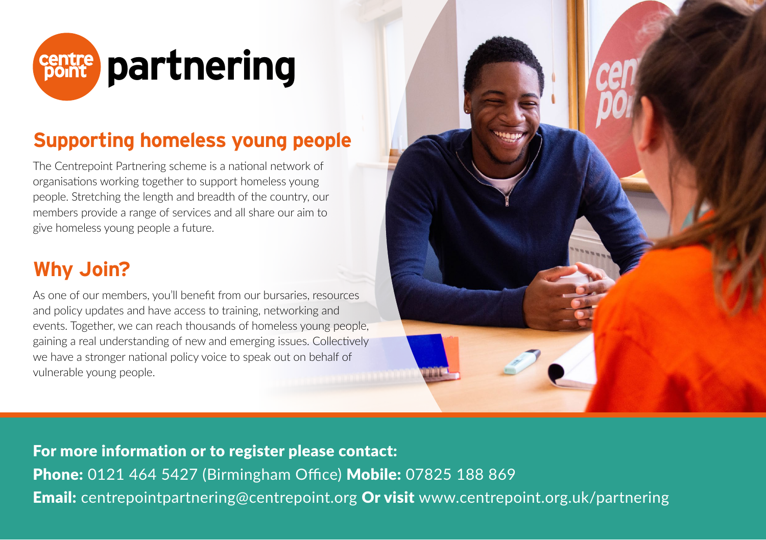

### **Supporting homeless young people**

The Centrepoint Partnering scheme is a national network of organisations working together to support homeless young people. Stretching the length and breadth of the country, our members provide a range of services and all share our aim to give homeless young people a future.

## **Why Join?**

As one of our members, you'll benefit from our bursaries, resources and policy updates and have access to training, networking and events. Together, we can reach thousands of homeless young people, gaining a real understanding of new and emerging issues. Collectively we have a stronger national policy voice to speak out on behalf of vulnerable young people.



For more information or to register please contact: Phone: 0121 464 5427 (Birmingham Office) Mobile: 07825 188 869 **Email:** centrepointpartnering@centrepoint.org Or visit www.centrepoint.org.uk/partnering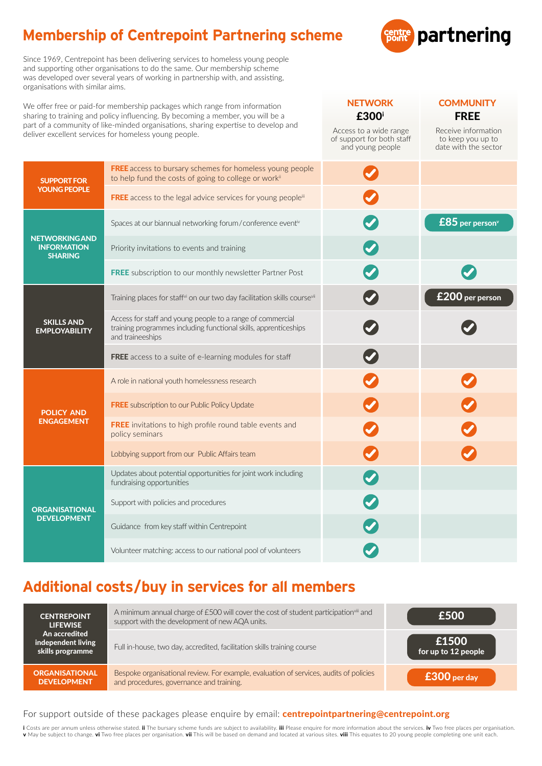# **Membership of Centrepoint Partnering scheme**



NETWORK COMMUNITY £300i FREE

Access to a wide range of support for both staff Receive information to keep you up to

Since 1969, Centrepoint has been delivering services to homeless young people and supporting other organisations to do the same. Our membership scheme was developed over several years of working in partnership with, and assisting, organisations with similar aims.

We offer free or paid-for membership packages which range from information sharing to training and policy influencing. By becoming a member, you will be a part of a community of like-minded organisations, sharing expertise to develop and deliver excellent services for homeless young people.

|                                                               |                                                                                                                                                    | and young people | date with the sector |
|---------------------------------------------------------------|----------------------------------------------------------------------------------------------------------------------------------------------------|------------------|----------------------|
| <b>SUPPORT FOR</b><br><b>YOUNG PEOPLE</b>                     | <b>FREE</b> access to bursary schemes for homeless young people<br>to help fund the costs of going to college or workii                            |                  |                      |
|                                                               | <b>FREE</b> access to the legal advice services for young peoplein                                                                                 |                  |                      |
| <b>NETWORKING AND</b><br><b>INFORMATION</b><br><b>SHARING</b> | Spaces at our biannual networking forum/conference eventiv                                                                                         |                  | $£85$ per person $v$ |
|                                                               | Priority invitations to events and training                                                                                                        |                  |                      |
|                                                               | <b>FREE</b> subscription to our monthly newsletter Partner Post                                                                                    |                  |                      |
| <b>SKILLS AND</b><br><b>EMPLOYABILITY</b>                     | Training places for staff <sup>vi</sup> on our two day facilitation skills course <sup>vii</sup>                                                   |                  | £200 per person      |
|                                                               | Access for staff and young people to a range of commercial<br>training programmes including functional skills, apprenticeships<br>and traineeships |                  |                      |
|                                                               | <b>FREE</b> access to a suite of e-learning modules for staff                                                                                      |                  |                      |
| <b>POLICY AND</b><br><b>ENGAGEMENT</b>                        | A role in national youth homelessness research                                                                                                     |                  |                      |
|                                                               | <b>FREE</b> subscription to our Public Policy Update                                                                                               |                  |                      |
|                                                               | FREE invitations to high profile round table events and<br>policy seminars                                                                         |                  |                      |
|                                                               | Lobbying support from our Public Affairs team                                                                                                      |                  |                      |
| <b>ORGANISATIONAL</b><br><b>DEVELOPMENT</b>                   | Updates about potential opportunities for joint work including<br>fundraising opportunities                                                        |                  |                      |
|                                                               | Support with policies and procedures                                                                                                               |                  |                      |
|                                                               | Guidance from key staff within Centrepoint                                                                                                         |                  |                      |
|                                                               | Volunteer matching: access to our national pool of volunteers                                                                                      |                  |                      |

## **Additional costs/buy in services for all members**

| <b>CENTREPOINT</b><br><b>LIFEWISE</b><br>An accredited<br>independent living<br>skills programme | A minimum annual charge of £500 will cover the cost of student participation <sup>viii</sup> and<br>support with the development of new AQA units. | £500                         |
|--------------------------------------------------------------------------------------------------|----------------------------------------------------------------------------------------------------------------------------------------------------|------------------------------|
|                                                                                                  | Full in-house, two day, accredited, facilitation skills training course                                                                            | £1500<br>for up to 12 people |
| <b>ORGANISATIONAL</b><br><b>DEVELOPMENT</b>                                                      | Bespoke organisational review. For example, evaluation of services, audits of policies<br>and procedures, governance and training.                 | $£300$ per day               |

#### For support outside of these packages please enquire by email: **centrepointpartnering@centrepoint.org**

i Costs are per annum unless otherwise stated. ii The bursary scheme funds are subject to availability. iii Please enquire for more information about the services. iv Two free places per organisation. v May be subject to change. vi Two free places per organisation. vii This will be based on demand and located at various sites. viii This equates to 20 young people completing one unit each.